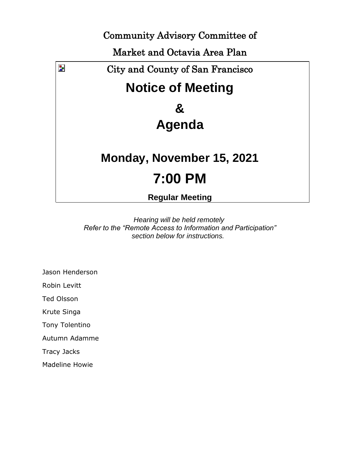Community Advisory Committee of

Market and Octavia Area Plan



*Hearing will be held remotely Refer to the "Remote Access to Information and Participation" section below for instructions.*

Jason Henderson

Robin Levitt

Ted Olsson

Krute Singa

Tony Tolentino

Autumn Adamme

Tracy Jacks

Madeline Howie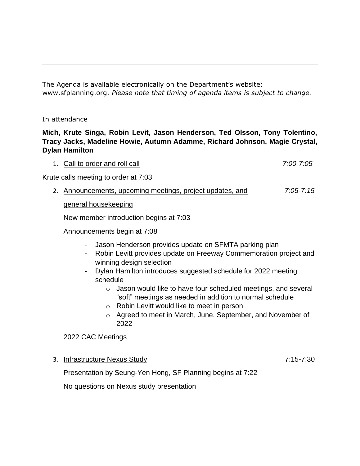The Agenda is available electronically on the Department's website: www.sfplanning.org. *Please note that timing of agenda items is subject to change.* 

## In attendance

# **Mich, Krute Singa, Robin Levit, Jason Henderson, Ted Olsson, Tony Tolentino, Tracy Jacks, Madeline Howie, Autumn Adamme, Richard Johnson, Magie Crystal, Dylan Hamilton**

1. Call to order and roll call *7:00-7:05*

Krute calls meeting to order at 7:03

2. Announcements, upcoming meetings, project updates, and *7:05-7:15*

## general housekeeping

New member introduction begins at 7:03

Announcements begin at 7:08

- Jason Henderson provides update on SFMTA parking plan
- Robin Levitt provides update on Freeway Commemoration project and winning design selection
- Dylan Hamilton introduces suggested schedule for 2022 meeting schedule
	- o Jason would like to have four scheduled meetings, and several "soft" meetings as needed in addition to normal schedule
	- o Robin Levitt would like to meet in person
	- o Agreed to meet in March, June, September, and November of 2022

2022 CAC Meetings

3. Infrastructure Nexus Study 7:15-7:30

Presentation by Seung-Yen Hong, SF Planning begins at 7:22

No questions on Nexus study presentation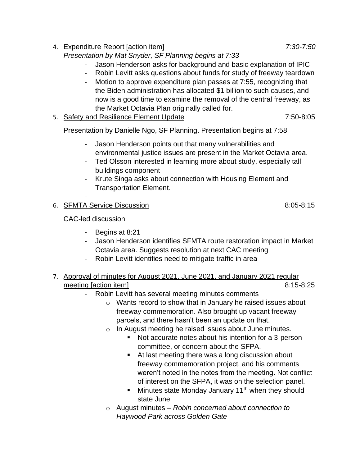- 4. Expenditure Report [action item] *7:30-7:50 Presentation by Mat Snyder, SF Planning begins at 7:33* - Jason Henderson asks for background and basic explanation of IPIC - Robin Levitt asks questions about funds for study of freeway teardown
	- Motion to approve expenditure plan passes at 7:55, recognizing that the Biden administration has allocated \$1 billion to such causes, and now is a good time to examine the removal of the central freeway, as the Market Octavia Plan originally called for.
- 5. Safety and Resilience Element Update 7:50-8:05

Presentation by Danielle Ngo, SF Planning. Presentation begins at 7:58

- Jason Henderson points out that many vulnerabilities and environmental justice issues are present in the Market Octavia area.
- Ted Olsson interested in learning more about study, especially tall buildings component
- Krute Singa asks about connection with Housing Element and Transportation Element.

# 6. SFMTA Service Discussion 8:05-8:15

CAC-led discussion

-

- Begins at 8:21
- Jason Henderson identifies SFMTA route restoration impact in Market Octavia area. Suggests resolution at next CAC meeting
- Robin Levitt identifies need to mitigate traffic in area
- 7. Approval of minutes for August 2021, June 2021, and January 2021 regular meeting [action item] 8:15-8:25
	- Robin Levitt has several meeting minutes comments
		- o Wants record to show that in January he raised issues about freeway commemoration. Also brought up vacant freeway parcels, and there hasn't been an update on that.
		- o In August meeting he raised issues about June minutes.
			- Not accurate notes about his intention for a 3-person committee, or concern about the SFPA.
			- At last meeting there was a long discussion about freeway commemoration project, and his comments weren't noted in the notes from the meeting. Not conflict of interest on the SFPA, it was on the selection panel.
			- **■** Minutes state Monday January 11<sup>th</sup> when they should state June
		- o August minutes *Robin concerned about connection to Haywood Park across Golden Gate*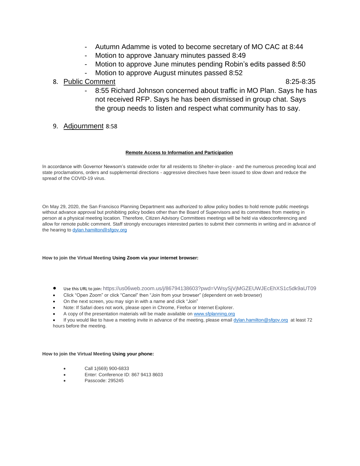- Autumn Adamme is voted to become secretary of MO CAC at 8:44
- Motion to approve January minutes passed 8:49
- Motion to approve June minutes pending Robin's edits passed 8:50
	- Motion to approve August minutes passed 8:52
- 8. Public Comment 8:25-8:35

- 8:55 Richard Johnson concerned about traffic in MO Plan. Says he has not received RFP. Says he has been dismissed in group chat. Says the group needs to listen and respect what community has to say.
- 9. Adjournment 8:58

## **Remote Access to Information and Participation**

In accordance with Governor Newsom's statewide order for all residents to Shelter-in-place - and the numerous preceding local and state proclamations, orders and supplemental directions - aggressive directives have been issued to slow down and reduce the spread of the COVID-19 virus.

On May 29, 2020, the San Francisco Planning Department was authorized to allow policy bodies to hold remote public meetings without advance approval but prohibiting policy bodies other than the Board of Supervisors and its committees from meeting in person at a physical meeting location. Therefore, Citizen Advisory Committees meetings will be held via videoconferencing and allow for remote public comment. Staff strongly encourages interested parties to submit their comments in writing and in advance of the hearing to [dylan.hamilton@sfgov.org](mailto:dylan.hamilton@sfgov.org)

## **How to join the Virtual Meeting Using Zoom via your internet browser:**

- Use this URL to join: https://us06web.zoom.us/j/86794138603?pwd=VWsySjVjMGZEUWJEcEhXS1c5dk9aUT09
- Click "Open Zoom" or click "Cancel" then "Join from your browser" (dependent on web browser)
- On the next screen, you may sign in with a name and click "Join"
- Note: If Safari does not work, please open in Chrome, Firefox or Internet Explorer.
- A copy of the presentation materials will be made available on www.sfplanning.org

If you would like to have a meeting invite in advance of the meeting, please emai[l dylan.hamilton@sfgov.org](mailto:dylan.hamilton@sfgov.org) at least 72 hours before the meeting.

## **How to join the Virtual Meeting Using your phone:**

- Call 1(669) 900-6833
- Enter: Conference ID: 867 9413 8603
- Passcode: 295245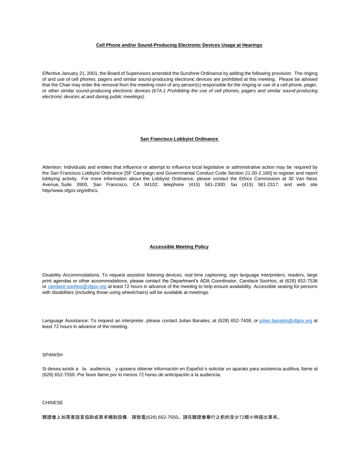### **Cell Phone and/or Sound-Producing Electronic Devices Usage at Hearings**

Effective January 21, 2001, the Board of Supervisors amended the Sunshine Ordinance by adding the following provision: The ringing of and use of cell phones, pagers and similar sound-producing electronic devices are prohibited at this meeting. Please be advised that the Chair may order the removal from the meeting room of any person(s) responsible for the ringing or use of a cell phone, pager, or other similar sound-producing electronic devices *(67A.1 Prohibiting the use of cell phones, pagers and similar sound-producing electronic devices at and during public meetings).*

## **San Francisco Lobbyist Ordinance**

Attention: Individuals and entities that influence or attempt to influence local legislative or administrative action may be required by the San Francisco Lobbyist Ordinance [SF Campaign and Governmental Conduct Code Section 21.00-2.160] to register and report lobbying activity. For more information about the Lobbyist Ordinance, please contact the Ethics Commission at 30 Van Ness Avenue, Suite 3900, San Francisco, CA 94102; telephone (415) 581-2300; fax (415) 581-2317; and web site http//www.sfgov.org/ethics.

#### **Accessible Meeting Policy**

Disability Accommodations: To request assistive listening devices, real time captioning, sign language interpreters, readers, large print agendas or other accommodations, please contact the Department's ADA Coordinator, Candace SooHoo, at (628) 652-7536 or [candace.soohoo@sfgov.org](mailto:candace.soohoo@sfgov.org) at least 72 hours in advance of the meeting to help ensure availability. Accessible seating for persons with disabilities (including those using wheelchairs) will be available at meetings.

Language Assistance: To request an interpreter, please contact Julian Banales, at (628) 652-7408, or [julian.banales@sfgov.org](mailto:julian.banales@sfgov.org) at least 72 hours in advance of the meeting.

#### SPANISH

Si desea asistir a la audiencia, y quisiera obtener información en Español o solicitar un aparato para asistencia auditiva, llame al (628) 652-7550. Por favor llame por lo menos 72 horas de anticipación a la audiencia.

## CHINESE

聽證會上如需要語言協助或要求輔助設備,請致電(628) 652-7550。請在聽證會舉行之前的至少72個小時提出要求。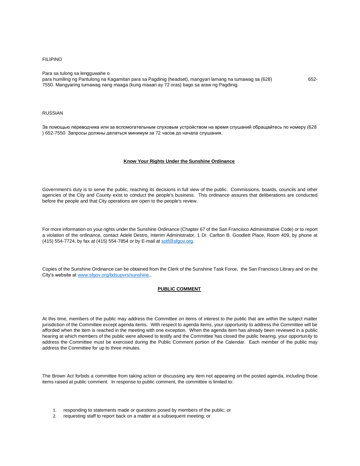#### FILIPINO

Para sa tulong sa lengguwahe o

para humiling ng Pantulong na Kagamitan para sa Pagdinig (headset), mangyari lamang na tumawag sa (628) 652- 7550. Mangyaring tumawag nang maaga (kung maaari ay 72 oras) bago sa araw ng Pagdinig.

#### RUSSIAN

За помощью переводчика или за вспомогательным слуховым устройством на время слушаний обращайтесь по номеру (628 ) 652-7550. Запросы должны делаться минимум за 72 часов до начала слушания.

#### **Know Your Rights Under the Sunshine Ordinance**

Government's duty is to serve the public, reaching its decisions in full view of the public. Commissions, boards, councils and other agencies of the City and County exist to conduct the people's business. This ordinance assures that deliberations are conducted before the people and that City operations are open to the people's review.

For more information on your rights under the Sunshine Ordinance (Chapter 67 of the San Francisco Administrative Code) or to report a violation of the ordinance, contact Adele Destro, Interim Administrator, 1 Dr. Carlton B. Goodlett Place, Room 409, by phone at (415) 554-7724, by fax at (415) 554-7854 or by E-mail at [sotf@sfgov.org.](mailto:sotf@sfgov.org)

Copies of the Sunshine Ordinance can be obtained from the Clerk of the Sunshine Task Force, the San Francisco Library and on the City's website at www.sfgov.org/bdsupvrs/sunshine..

## **PUBLIC COMMENT**

At this time, members of the public may address the Committee on items of interest to the public that are within the subject matter jurisdiction of the Committee except agenda items. With respect to agenda items, your opportunity to address the Committee will be afforded when the item is reached in the meeting with one exception. When the agenda item has already been reviewed in a public hearing at which members of the public were allowed to testify and the Committee has closed the public hearing, your opportunity to address the Committee must be exercised during the Public Comment portion of the Calendar. Each member of the public may address the Committee for up to three minutes.

The Brown Act forbids a committee from taking action or discussing any item not appearing on the posted agenda, including those items raised at public comment. In response to public comment, the committee is limited to:

- 1. responding to statements made or questions posed by members of the public; or
- 2. requesting staff to report back on a matter at a subsequent meeting; or